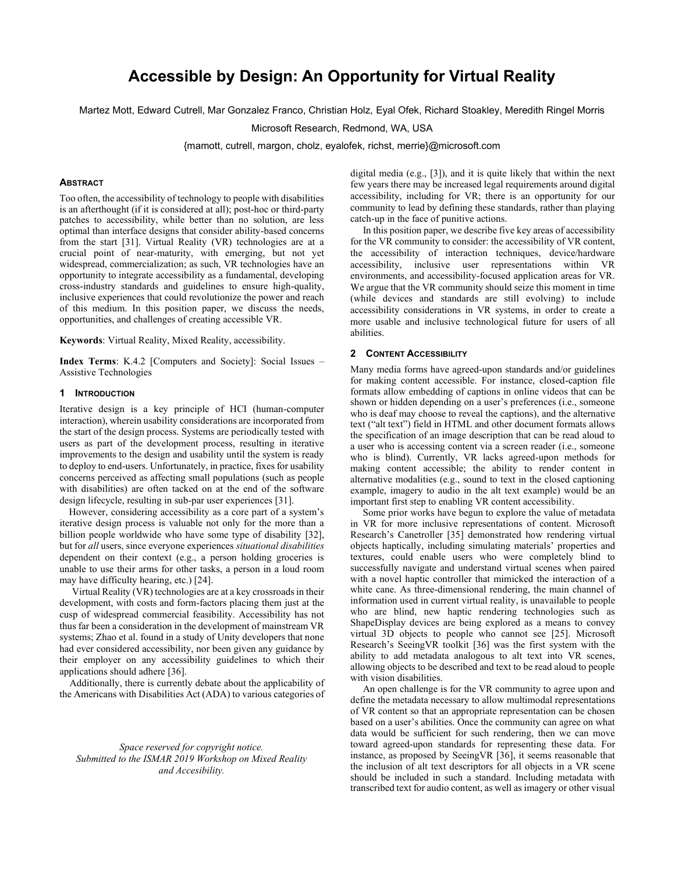# **Accessible by Design: An Opportunity for Virtual Reality**

Martez Mott, Edward Cutrell, Mar Gonzalez Franco, Christian Holz, Eyal Ofek, Richard Stoakley, Meredith Ringel Morris

Microsoft Research, Redmond, WA, USA

{mamott, cutrell, margon, cholz, eyalofek, richst, merrie}@microsoft.com

### **ABSTRACT**

Too often, the accessibility of technology to people with disabilities is an afterthought (if it is considered at all); post-hoc or third-party patches to accessibility, while better than no solution, are less optimal than interface designs that consider ability-based concerns from the start [\[31\].](#page-3-0) Virtual Reality (VR) technologies are at a crucial point of near-maturity, with emerging, but not yet widespread, commercialization; as such, VR technologies have an opportunity to integrate accessibility as a fundamental, developing cross-industry standards and guidelines to ensure high-quality, inclusive experiences that could revolutionize the power and reach of this medium. In this position paper, we discuss the needs, opportunities, and challenges of creating accessible VR.

**Keywords**: Virtual Reality, Mixed Reality, accessibility.

**Index Terms**: K.4.2 [Computers and Society]: Social Issues – Assistive Technologies

# **1 INTRODUCTION**

Iterative design is a key principle of HCI (human-computer interaction), wherein usability considerations are incorporated from the start of the design process. Systems are periodically tested with users as part of the development process, resulting in iterative improvements to the design and usability until the system is ready to deploy to end-users. Unfortunately, in practice, fixes for usability concerns perceived as affecting small populations (such as people with disabilities) are often tacked on at the end of the software design lifecycle, resulting in sub-par user experiences [\[31\].](#page-3-0) 

However, considering accessibility as a core part of a system's iterative design process is valuable not only for the more than a billion people worldwide who have some type of disability [\[32\],](#page-3-1) but for *all* users, since everyone experiences *situational disabilities* dependent on their context (e.g., a person holding groceries is unable to use their arms for other tasks, a person in a loud room may have difficulty hearing, etc.) [\[24\].](#page-3-2)

 Virtual Reality (VR) technologies are at a key crossroads in their development, with costs and form-factors placing them just at the cusp of widespread commercial feasibility. Accessibility has not thus far been a consideration in the development of mainstream VR systems; Zhao et al. found in a study of Unity developers that none had ever considered accessibility, nor been given any guidance by their employer on any accessibility guidelines to which their applications should adhere [\[36\].](#page-3-3)

 Additionally, there is currently debate about the applicability of the Americans with Disabilities Act (ADA) to various categories of

*Space reserved for copyright notice. Submitted to the ISMAR 2019 Workshop on Mixed Reality and Accesibility.*

digital media (e.g., [\[3\]\)](#page-3-4), and it is quite likely that within the next few years there may be increased legal requirements around digital accessibility, including for VR; there is an opportunity for our community to lead by defining these standards, rather than playing catch-up in the face of punitive actions.

 In this position paper, we describe five key areas of accessibility for the VR community to consider: the accessibility of VR content, the accessibility of interaction techniques, device/hardware accessibility, inclusive user representations within VR environments, and accessibility-focused application areas for VR. We argue that the VR community should seize this moment in time (while devices and standards are still evolving) to include accessibility considerations in VR systems, in order to create a more usable and inclusive technological future for users of all abilities.

## **2 CONTENT ACCESSIBILITY**

Many media forms have agreed-upon standards and/or guidelines for making content accessible. For instance, closed-caption file formats allow embedding of captions in online videos that can be shown or hidden depending on a user's preferences (i.e., someone who is deaf may choose to reveal the captions), and the alternative text ("alt text") field in HTML and other document formats allows the specification of an image description that can be read aloud to a user who is accessing content via a screen reader (i.e., someone who is blind). Currently, VR lacks agreed-upon methods for making content accessible; the ability to render content in alternative modalities (e.g., sound to text in the closed captioning example, imagery to audio in the alt text example) would be an important first step to enabling VR content accessibility.

 Some prior works have begun to explore the value of metadata in VR for more inclusive representations of content. Microsoft Research's Canetroller [\[35\]](#page-3-5) demonstrated how rendering virtual objects haptically, including simulating materials' properties and textures, could enable users who were completely blind to successfully navigate and understand virtual scenes when paired with a novel haptic controller that mimicked the interaction of a white cane. As three-dimensional rendering, the main channel of information used in current virtual reality, is unavailable to people who are blind, new haptic rendering technologies such as ShapeDisplay devices are being explored as a means to convey virtual 3D objects to people who cannot see [\[25\].](#page-3-6) Microsoft Research's SeeingVR toolkit [\[36\]](#page-3-3) was the first system with the ability to add metadata analogous to alt text into VR scenes, allowing objects to be described and text to be read aloud to people with vision disabilities.

 An open challenge is for the VR community to agree upon and define the metadata necessary to allow multimodal representations of VR content so that an appropriate representation can be chosen based on a user's abilities. Once the community can agree on what data would be sufficient for such rendering, then we can move toward agreed-upon standards for representing these data. For instance, as proposed by SeeingVR [\[36\],](#page-3-3) it seems reasonable that the inclusion of alt text descriptors for all objects in a VR scene should be included in such a standard. Including metadata with transcribed text for audio content, as well as imagery or other visual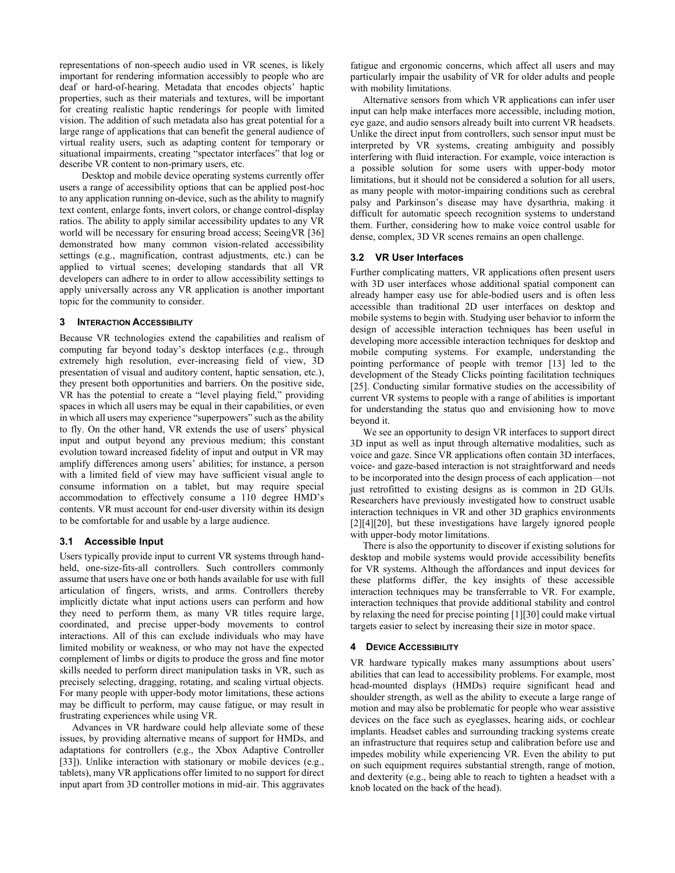representations of non-speech audio used in VR scenes, is likely important for rendering information accessibly to people who are deaf or hard-of-hearing. Metadata that encodes objects' haptic properties, such as their materials and textures, will be important for creating realistic haptic renderings for people with limited vision. The addition of such metadata also has great potential for a large range of applications that can benefit the general audience of virtual reality users, such as adapting content for temporary or situational impairments, creating "spectator interfaces" that log or describe VR content to non-primary users, etc.

 Desktop and mobile device operating systems currently offer users a range of accessibility options that can be applied post-hoc to any application running on-device, such as the ability to magnify text content, enlarge fonts, invert colors, or change control-display ratios. The ability to apply similar accessibility updates to any VR world will be necessary for ensuring broad access; SeeingVR [\[36\]](#page-3-3)  demonstrated how many common vision-related accessibility settings (e.g., magnification, contrast adjustments, etc.) can be applied to virtual scenes; developing standards that all VR developers can adhere to in order to allow accessibility settings to apply universally across any VR application is another important topic for the community to consider.

## **3 INTERACTION ACCESSIBILITY**

Because VR technologies extend the capabilities and realism of computing far beyond today's desktop interfaces (e.g., through extremely high resolution, ever-increasing field of view, 3D presentation of visual and auditory content, haptic sensation, etc.), they present both opportunities and barriers. On the positive side, VR has the potential to create a "level playing field," providing spaces in which all users may be equal in their capabilities, or even in which all users may experience "superpowers" such as the ability to fly. On the other hand, VR extends the use of users' physical input and output beyond any previous medium; this constant evolution toward increased fidelity of input and output in VR may amplify differences among users' abilities; for instance, a person with a limited field of view may have sufficient visual angle to consume information on a tablet, but may require special accommodation to effectively consume a 110 degree HMD's contents. VR must account for end-user diversity within its design to be comfortable for and usable by a large audience.

## **3.1 Accessible Input**

Users typically provide input to current VR systems through handheld, one-size-fits-all controllers. Such controllers commonly assume that users have one or both hands available for use with full articulation of fingers, wrists, and arms. Controllers thereby implicitly dictate what input actions users can perform and how they need to perform them, as many VR titles require large, coordinated, and precise upper-body movements to control interactions. All of this can exclude individuals who may have limited mobility or weakness, or who may not have the expected complement of limbs or digits to produce the gross and fine motor skills needed to perform direct manipulation tasks in VR, such as precisely selecting, dragging, rotating, and scaling virtual objects. For many people with upper-body motor limitations, these actions may be difficult to perform, may cause fatigue, or may result in frustrating experiences while using VR.

 Advances in VR hardware could help alleviate some of these issues, by providing alternative means of support for HMDs, and adaptations for controllers (e.g., the Xbox Adaptive Controller [\[33\]\)](#page-3-7). Unlike interaction with stationary or mobile devices (e.g., tablets), many VR applications offer limited to no support for direct input apart from 3D controller motions in mid-air. This aggravates

fatigue and ergonomic concerns, which affect all users and may particularly impair the usability of VR for older adults and people with mobility limitations.

 Alternative sensors from which VR applications can infer user input can help make interfaces more accessible, including motion, eye gaze, and audio sensors already built into current VR headsets. Unlike the direct input from controllers, such sensor input must be interpreted by VR systems, creating ambiguity and possibly interfering with fluid interaction. For example, voice interaction is a possible solution for some users with upper-body motor limitations, but it should not be considered a solution for all users, as many people with motor-impairing conditions such as cerebral palsy and Parkinson's disease may have dysarthria, making it difficult for automatic speech recognition systems to understand them. Further, considering how to make voice control usable for dense, complex, 3D VR scenes remains an open challenge.

## **3.2 VR User Interfaces**

Further complicating matters, VR applications often present users with 3D user interfaces whose additional spatial component can already hamper easy use for able-bodied users and is often less accessible than traditional 2D user interfaces on desktop and mobile systems to begin with. Studying user behavior to inform the design of accessible interaction techniques has been useful in developing more accessible interaction techniques for desktop and mobile computing systems. For example, understanding the pointing performance of people with tremor [\[13\]](#page-3-8) led to the development of the Steady Clicks pointing facilitation techniques [\[25\].](#page-3-6) Conducting similar formative studies on the accessibility of current VR systems to people with a range of abilities is important for understanding the status quo and envisioning how to move beyond it.

 We see an opportunity to design VR interfaces to support direct 3D input as well as input through alternative modalities, such as voice and gaze. Since VR applications often contain 3D interfaces, voice- and gaze-based interaction is not straightforward and needs to be incorporated into the design process of each application—not just retrofitted to existing designs as is common in 2D GUIs. Researchers have previously investigated how to construct usable interaction techniques in VR and other 3D graphics environments [\[2\]](#page-3-9)[\[4\]](#page-3-10)[\[20\],](#page-3-11) but these investigations have largely ignored people with upper-body motor limitations.

 There is also the opportunity to discover if existing solutions for desktop and mobile systems would provide accessibility benefits for VR systems. Although the affordances and input devices for these platforms differ, the key insights of these accessible interaction techniques may be transferrable to VR. For example, interaction techniques that provide additional stability and control by relaxing the need for precise pointin[g \[1\]](#page-3-12)[\[30\]](#page-3-13) could make virtual targets easier to select by increasing their size in motor space.

# **4 DEVICE ACCESSIBILITY**

VR hardware typically makes many assumptions about users' abilities that can lead to accessibility problems. For example, most head-mounted displays (HMDs) require significant head and shoulder strength, as well as the ability to execute a large range of motion and may also be problematic for people who wear assistive devices on the face such as eyeglasses, hearing aids, or cochlear implants. Headset cables and surrounding tracking systems create an infrastructure that requires setup and calibration before use and impedes mobility while experiencing VR. Even the ability to put on such equipment requires substantial strength, range of motion, and dexterity (e.g., being able to reach to tighten a headset with a knob located on the back of the head).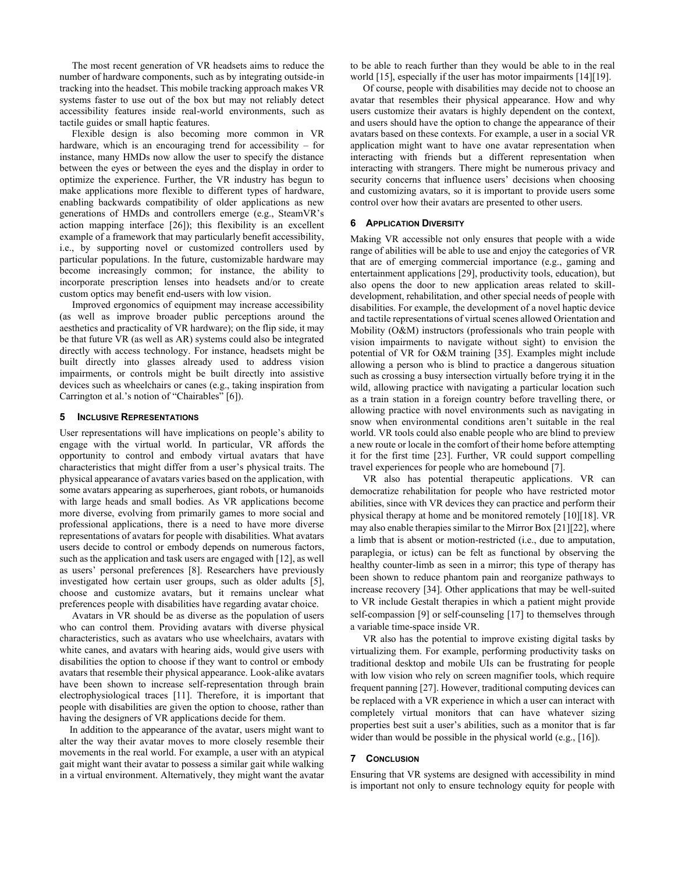The most recent generation of VR headsets aims to reduce the number of hardware components, such as by integrating outside-in tracking into the headset. This mobile tracking approach makes VR systems faster to use out of the box but may not reliably detect accessibility features inside real-world environments, such as tactile guides or small haptic features.

 Flexible design is also becoming more common in VR hardware, which is an encouraging trend for accessibility – for instance, many HMDs now allow the user to specify the distance between the eyes or between the eyes and the display in order to optimize the experience. Further, the VR industry has begun to make applications more flexible to different types of hardware, enabling backwards compatibility of older applications as new generations of HMDs and controllers emerge (e.g., SteamVR's action mapping interface [\[26\]\)](#page-3-14); this flexibility is an excellent example of a framework that may particularly benefit accessibility, i.e., by supporting novel or customized controllers used by particular populations. In the future, customizable hardware may become increasingly common; for instance, the ability to incorporate prescription lenses into headsets and/or to create custom optics may benefit end-users with low vision.

 Improved ergonomics of equipment may increase accessibility (as well as improve broader public perceptions around the aesthetics and practicality of VR hardware); on the flip side, it may be that future VR (as well as AR) systems could also be integrated directly with access technology. For instance, headsets might be built directly into glasses already used to address vision impairments, or controls might be built directly into assistive devices such as wheelchairs or canes (e.g., taking inspiration from Carrington et al.'s notion of "Chairables" [\[6\]\)](#page-3-15).

## **5 INCLUSIVE REPRESENTATIONS**

User representations will have implications on people's ability to engage with the virtual world. In particular, VR affords the opportunity to control and embody virtual avatars that have characteristics that might differ from a user's physical traits. The physical appearance of avatars varies based on the application, with some avatars appearing as superheroes, giant robots, or humanoids with large heads and small bodies. As VR applications become more diverse, evolving from primarily games to more social and professional applications, there is a need to have more diverse representations of avatars for people with disabilities. What avatars users decide to control or embody depends on numerous factors, such as the application and task users are engaged wit[h \[12\],](#page-3-16) as well as users' personal preferences [\[8\].](#page-3-17) Researchers have previously investigated how certain user groups, such as older adults [\[5\],](#page-3-18) choose and customize avatars, but it remains unclear what preferences people with disabilities have regarding avatar choice.

 Avatars in VR should be as diverse as the population of users who can control them. Providing avatars with diverse physical characteristics, such as avatars who use wheelchairs, avatars with white canes, and avatars with hearing aids, would give users with disabilities the option to choose if they want to control or embody avatars that resemble their physical appearance. Look-alike avatars have been shown to increase self-representation through brain electrophysiological traces [\[11\].](#page-3-19) Therefore, it is important that people with disabilities are given the option to choose, rather than having the designers of VR applications decide for them.

 In addition to the appearance of the avatar, users might want to alter the way their avatar moves to more closely resemble their movements in the real world. For example, a user with an atypical gait might want their avatar to possess a similar gait while walking in a virtual environment. Alternatively, they might want the avatar

to be able to reach further than they would be able to in the real world [\[15\],](#page-3-20) especially if the user has motor impairment[s \[14\]](#page-3-21)[\[19\].](#page-3-22)

 Of course, people with disabilities may decide not to choose an avatar that resembles their physical appearance. How and why users customize their avatars is highly dependent on the context, and users should have the option to change the appearance of their avatars based on these contexts. For example, a user in a social VR application might want to have one avatar representation when interacting with friends but a different representation when interacting with strangers. There might be numerous privacy and security concerns that influence users' decisions when choosing and customizing avatars, so it is important to provide users some control over how their avatars are presented to other users.

#### **6 APPLICATION DIVERSITY**

Making VR accessible not only ensures that people with a wide range of abilities will be able to use and enjoy the categories of VR that are of emerging commercial importance (e.g., gaming and entertainment applications [\[29\],](#page-3-23) productivity tools, education), but also opens the door to new application areas related to skilldevelopment, rehabilitation, and other special needs of people with disabilities. For example, the development of a novel haptic device and tactile representations of virtual scenes allowed Orientation and Mobility (O&M) instructors (professionals who train people with vision impairments to navigate without sight) to envision the potential of VR for O&M training [\[35\].](#page-3-5) Examples might include allowing a person who is blind to practice a dangerous situation such as crossing a busy intersection virtually before trying it in the wild, allowing practice with navigating a particular location such as a train station in a foreign country before travelling there, or allowing practice with novel environments such as navigating in snow when environmental conditions aren't suitable in the real world. VR tools could also enable people who are blind to preview a new route or locale in the comfort of their home before attempting it for the first time [\[23\].](#page-3-24) Further, VR could support compelling travel experiences for people who are homebound [\[7\].](#page-3-25)

 VR also has potential therapeutic applications. VR can democratize rehabilitation for people who have restricted motor abilities, since with VR devices they can practice and perform their physical therapy at home and be monitored remotely [\[10\]](#page-3-26)[\[18\].](#page-3-27) VR may also enable therapies similar to the Mirror Bo[x \[21\]](#page-3-28)[\[22\],](#page-3-29) where a limb that is absent or motion-restricted (i.e., due to amputation, paraplegia, or ictus) can be felt as functional by observing the healthy counter-limb as seen in a mirror; this type of therapy has been shown to reduce phantom pain and reorganize pathways to increase recovery [\[34\].](#page-3-30) Other applications that may be well-suited to VR include Gestalt therapies in which a patient might provide self-compassion [\[9\]](#page-3-31) or self-counseling [\[17\]](#page-3-32) to themselves through a variable time-space inside VR.

 VR also has the potential to improve existing digital tasks by virtualizing them. For example, performing productivity tasks on traditional desktop and mobile UIs can be frustrating for people with low vision who rely on screen magnifier tools, which require frequent panning [\[27\].](#page-3-33) However, traditional computing devices can be replaced with a VR experience in which a user can interact with completely virtual monitors that can have whatever sizing properties best suit a user's abilities, such as a monitor that is far wider than would be possible in the physical world (e.g.[, \[16\]\)](#page-3-34).

#### **7 CONCLUSION**

Ensuring that VR systems are designed with accessibility in mind is important not only to ensure technology equity for people with